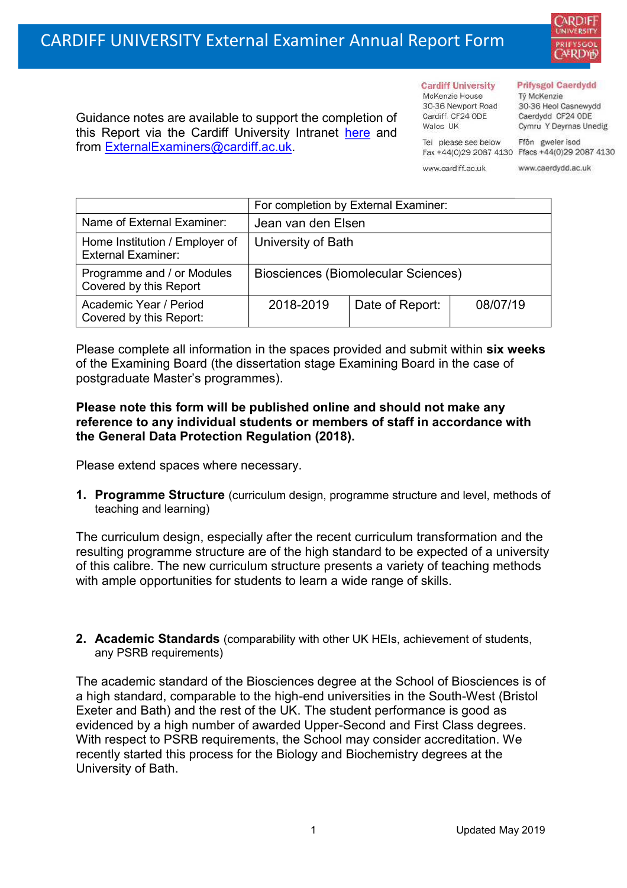30-36 Newport Road Cardiff CF24 ODE Guidance notes are available to support the completion of Wales UK this Report via the Cardiff University Intranet [here](https://intranet.cardiff.ac.uk/staff/teaching-and-supporting-students/exams-and-assessment/exam-boards-and-external-examiners/for-current-external-examiners/external-examiners-reports) and

## **Prifysgol Caerdydd**

Từ McKenzie 30-36 Heol Casnewydd Caerdydd CF24 ODE Cymru Y Deyrnas Unedig

Fax +44(0)29 2087 4130 Ffacs +44(0)29 2087 4130

Tel please see below www.cardiff.ac.uk

**Cardiff University** 

McKenzie House

Ffôn gweler isod www.caerdydd.ac.uk

|                                                             | For completion by External Examiner: |                 |          |  |
|-------------------------------------------------------------|--------------------------------------|-----------------|----------|--|
| Name of External Examiner:                                  | Jean van den Elsen                   |                 |          |  |
| Home Institution / Employer of<br><b>External Examiner:</b> | University of Bath                   |                 |          |  |
| Programme and / or Modules<br>Covered by this Report        | Biosciences (Biomolecular Sciences)  |                 |          |  |
| Academic Year / Period<br>Covered by this Report:           | 2018-2019                            | Date of Report: | 08/07/19 |  |

Please complete all information in the spaces provided and submit within **six weeks** of the Examining Board (the dissertation stage Examining Board in the case of postgraduate Master's programmes).

## **Please note this form will be published online and should not make any reference to any individual students or members of staff in accordance with the General Data Protection Regulation (2018).**

Please extend spaces where necessary.

from [ExternalExaminers@cardiff.ac.uk.](mailto:ExternalExaminers@cardiff.ac.uk)

**1. Programme Structure** (curriculum design, programme structure and level, methods of teaching and learning)

The curriculum design, especially after the recent curriculum transformation and the resulting programme structure are of the high standard to be expected of a university of this calibre. The new curriculum structure presents a variety of teaching methods with ample opportunities for students to learn a wide range of skills.

**2. Academic Standards** (comparability with other UK HEIs, achievement of students, any PSRB requirements)

The academic standard of the Biosciences degree at the School of Biosciences is of a high standard, comparable to the high-end universities in the South-West (Bristol Exeter and Bath) and the rest of the UK. The student performance is good as evidenced by a high number of awarded Upper-Second and First Class degrees. With respect to PSRB requirements, the School may consider accreditation. We recently started this process for the Biology and Biochemistry degrees at the University of Bath.





ARDIF **UNIVERSITY**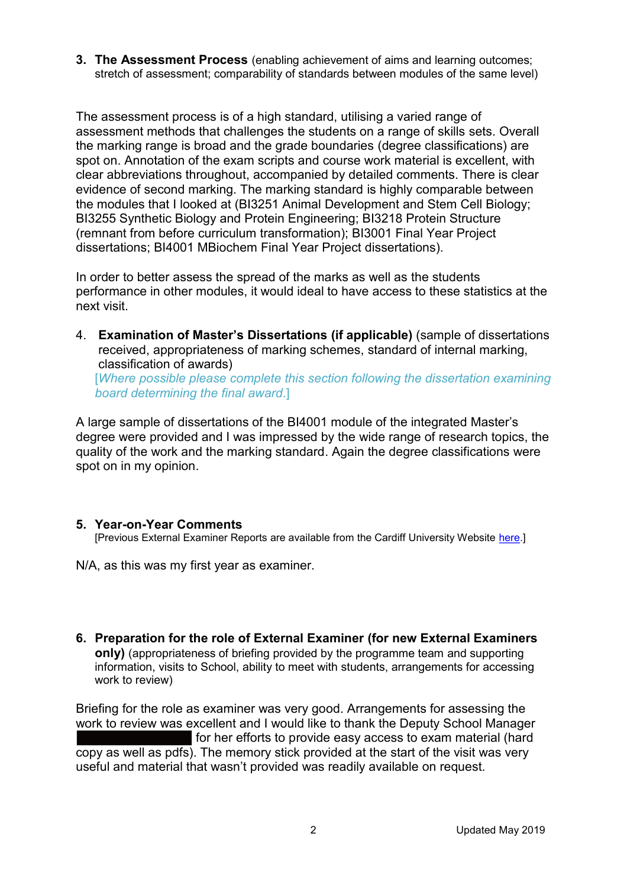**3. The Assessment Process** (enabling achievement of aims and learning outcomes; stretch of assessment; comparability of standards between modules of the same level)

The assessment process is of a high standard, utilising a varied range of assessment methods that challenges the students on a range of skills sets. Overall the marking range is broad and the grade boundaries (degree classifications) are spot on. Annotation of the exam scripts and course work material is excellent, with clear abbreviations throughout, accompanied by detailed comments. There is clear evidence of second marking. The marking standard is highly comparable between the modules that I looked at (BI3251 Animal Development and Stem Cell Biology; BI3255 Synthetic Biology and Protein Engineering; BI3218 Protein Structure (remnant from before curriculum transformation); BI3001 Final Year Project dissertations; BI4001 MBiochem Final Year Project dissertations).

In order to better assess the spread of the marks as well as the students performance in other modules, it would ideal to have access to these statistics at the next visit.

4. **Examination of Master's Dissertations (if applicable)** (sample of dissertations received, appropriateness of marking schemes, standard of internal marking, classification of awards) [*Where possible please complete this section following the dissertation examining* 

*board determining the final award*.]

A large sample of dissertations of the BI4001 module of the integrated Master's degree were provided and I was impressed by the wide range of research topics, the quality of the work and the marking standard. Again the degree classifications were spot on in my opinion.

## **5. Year-on-Year Comments**

[Previous External Examiner Reports are available from the Cardiff University Website [here.](https://www.cardiff.ac.uk/public-information/quality-and-standards/external-examiner-reports)]

N/A, as this was my first year as examiner.

**6. Preparation for the role of External Examiner (for new External Examiners only)** (appropriateness of briefing provided by the programme team and supporting information, visits to School, ability to meet with students, arrangements for accessing work to review)

Briefing for the role as examiner was very good. Arrangements for assessing the work to review was excellent and I would like to thank the Deputy School Manager for her efforts to provide easy access to exam material (hard copy as well as pdfs). The memory stick provided at the start of the visit was very useful and material that wasn't provided was readily available on request.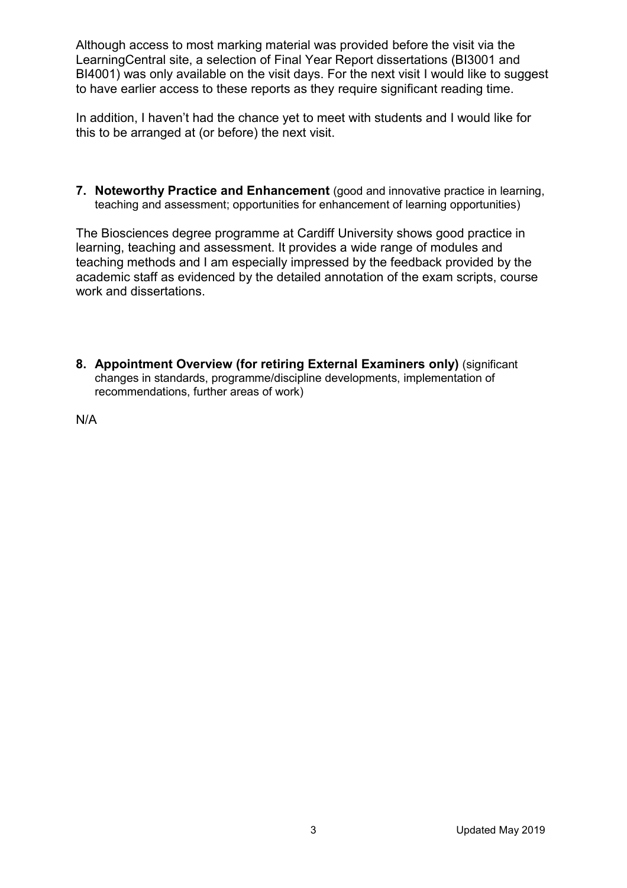Although access to most marking material was provided before the visit via the LearningCentral site, a selection of Final Year Report dissertations (BI3001 and BI4001) was only available on the visit days. For the next visit I would like to suggest to have earlier access to these reports as they require significant reading time.

In addition, I haven't had the chance yet to meet with students and I would like for this to be arranged at (or before) the next visit.

**7. Noteworthy Practice and Enhancement** (good and innovative practice in learning, teaching and assessment; opportunities for enhancement of learning opportunities)

The Biosciences degree programme at Cardiff University shows good practice in learning, teaching and assessment. It provides a wide range of modules and teaching methods and I am especially impressed by the feedback provided by the academic staff as evidenced by the detailed annotation of the exam scripts, course work and dissertations.

**8. Appointment Overview (for retiring External Examiners only) (significant** changes in standards, programme/discipline developments, implementation of recommendations, further areas of work)

N/A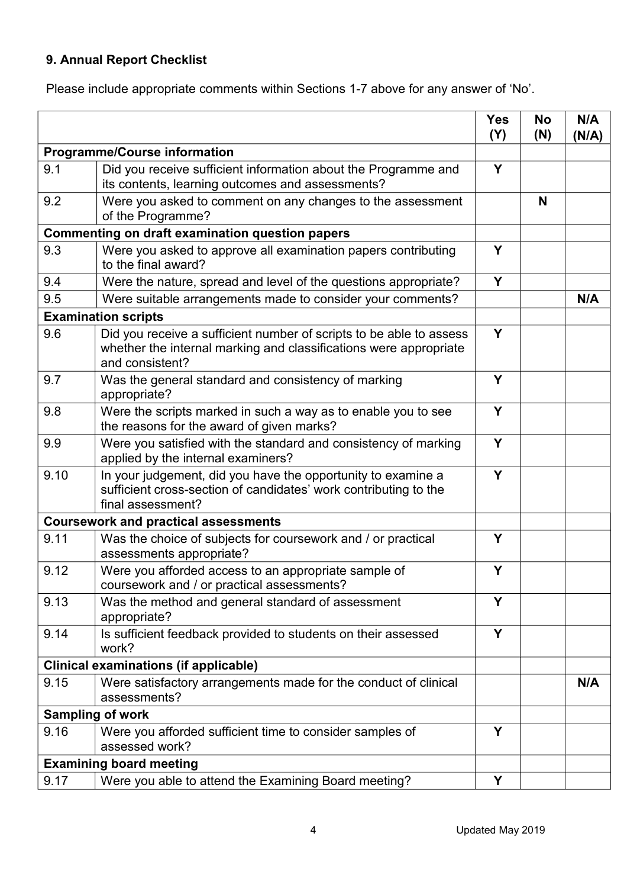## **9. Annual Report Checklist**

Please include appropriate comments within Sections 1-7 above for any answer of 'No'.

|                                                        |                                                                                                                                                             | <b>Yes</b><br>(Y) | No<br>(N) | N/A<br>(N/A) |
|--------------------------------------------------------|-------------------------------------------------------------------------------------------------------------------------------------------------------------|-------------------|-----------|--------------|
| <b>Programme/Course information</b>                    |                                                                                                                                                             |                   |           |              |
| 9.1                                                    | Did you receive sufficient information about the Programme and<br>its contents, learning outcomes and assessments?                                          | Y                 |           |              |
| 9.2                                                    | Were you asked to comment on any changes to the assessment<br>of the Programme?                                                                             |                   | N         |              |
| <b>Commenting on draft examination question papers</b> |                                                                                                                                                             |                   |           |              |
| 9.3                                                    | Were you asked to approve all examination papers contributing<br>to the final award?                                                                        |                   |           |              |
| 9.4                                                    | Were the nature, spread and level of the questions appropriate?                                                                                             | Y                 |           |              |
| 9.5                                                    | Were suitable arrangements made to consider your comments?                                                                                                  |                   |           | N/A          |
|                                                        | <b>Examination scripts</b>                                                                                                                                  |                   |           |              |
| 9.6                                                    | Did you receive a sufficient number of scripts to be able to assess<br>whether the internal marking and classifications were appropriate<br>and consistent? | Y                 |           |              |
| 9.7                                                    | Was the general standard and consistency of marking<br>appropriate?                                                                                         | Y                 |           |              |
| 9.8                                                    | Were the scripts marked in such a way as to enable you to see<br>the reasons for the award of given marks?                                                  | Y                 |           |              |
| 9.9                                                    | Were you satisfied with the standard and consistency of marking<br>applied by the internal examiners?                                                       | Y                 |           |              |
| 9.10                                                   | In your judgement, did you have the opportunity to examine a<br>sufficient cross-section of candidates' work contributing to the<br>final assessment?       | Y                 |           |              |
| <b>Coursework and practical assessments</b>            |                                                                                                                                                             |                   |           |              |
| 9.11                                                   | Was the choice of subjects for coursework and / or practical<br>assessments appropriate?                                                                    | Y                 |           |              |
| 9.12                                                   | Were you afforded access to an appropriate sample of<br>coursework and / or practical assessments?                                                          | Y                 |           |              |
| 9.13                                                   | Was the method and general standard of assessment<br>appropriate?                                                                                           | Y                 |           |              |
| 9.14                                                   | Is sufficient feedback provided to students on their assessed<br>work?                                                                                      | Y                 |           |              |
|                                                        | <b>Clinical examinations (if applicable)</b>                                                                                                                |                   |           |              |
| 9.15                                                   | Were satisfactory arrangements made for the conduct of clinical<br>assessments?                                                                             |                   |           | N/A          |
|                                                        | <b>Sampling of work</b>                                                                                                                                     |                   |           |              |
| 9.16                                                   | Were you afforded sufficient time to consider samples of<br>assessed work?                                                                                  | Y                 |           |              |
|                                                        | <b>Examining board meeting</b>                                                                                                                              |                   |           |              |
| 9.17                                                   | Were you able to attend the Examining Board meeting?                                                                                                        | Y                 |           |              |